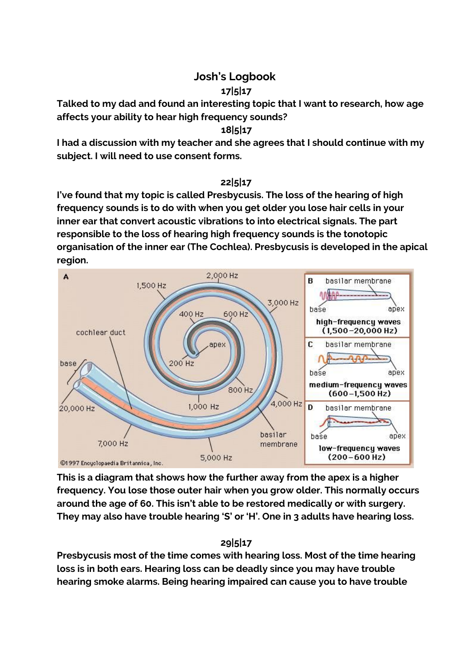# **Josh's Logbook**

### **17|5|17**

**Talked to my dad and found an interesting topic that I want to research, how age affects your ability to hear high frequency sounds?**

### **18|5|17**

**I had a discussion with my teacher and she agrees that I should continue with my subject. I will need to use consent forms.**

#### **22|5|17**

**I've found that my topic is called Presbycusis. The loss of the hearing of high frequency sounds is to do with when you get older you lose hair cells in your inner ear that convert acoustic vibrations to into electrical signals. The part responsible to the loss of hearing high frequency sounds is the tonotopic organisation of the inner ear (The Cochlea). Presbycusis is developed in the apical region.**



**This is a diagram that shows how the further away from the apex is a higher frequency. You lose those outer hair when you grow older. This normally occurs around the age of 60. This isn't able to be restored medically or with surgery. They may also have trouble hearing 'S' or 'H'. One in 3 adults have hearing loss.**

## **29|5|17**

**Presbycusis most of the time comes with hearing loss. Most of the time hearing loss is in both ears. Hearing loss can be deadly since you may have trouble hearing smoke alarms. Being hearing impaired can cause you to have trouble**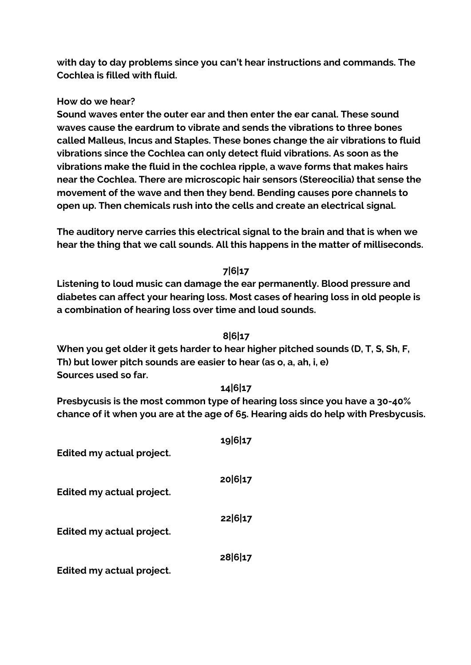**with day to day problems since you can't hear instructions and commands. The Cochlea is filled with fluid.**

#### **How do we hear?**

**Sound waves enter the outer ear and then enter the ear canal. These sound waves cause the eardrum to vibrate and sends the vibrations to three bones called Malleus, Incus and Staples. These bones change the air vibrations to fluid vibrations since the Cochlea can only detect fluid vibrations. As soon as the vibrations make the fluid in the cochlea ripple, a wave forms that makes hairs near the Cochlea. There are microscopic hair sensors (Stereocilia) that sense the movement of the wave and then they bend. Bending causes pore channels to open up. Then chemicals rush into the cells and create an electrical signal.**

**The auditory nerve carries this electrical signal to the brain and that is when we hear the thing that we call sounds. All this happens in the matter of milliseconds.**

#### **7|6|17**

**Listening to loud music can damage the ear permanently. Blood pressure and diabetes can affect your hearing loss. Most cases of hearing loss in old people is a combination of hearing loss over time and loud sounds.**

#### **8|6|17**

**When you get older it gets harder to hear higher pitched sounds (D, T, S, Sh, F, Th) but lower pitch sounds are easier to hear (as o, a, ah, i, e) Sources used so far.**

#### **14|6|17**

**Presbycusis is the most common type of hearing loss since you have a 30-40% chance of it when you are at the age of 65. Hearing aids do help with Presbycusis.**

| Edited my actual project. | 19617   |
|---------------------------|---------|
| Edited my actual project. | 20 6 17 |
| Edited my actual project. | 22 6 17 |
| Edited my actual project. | 28 6 17 |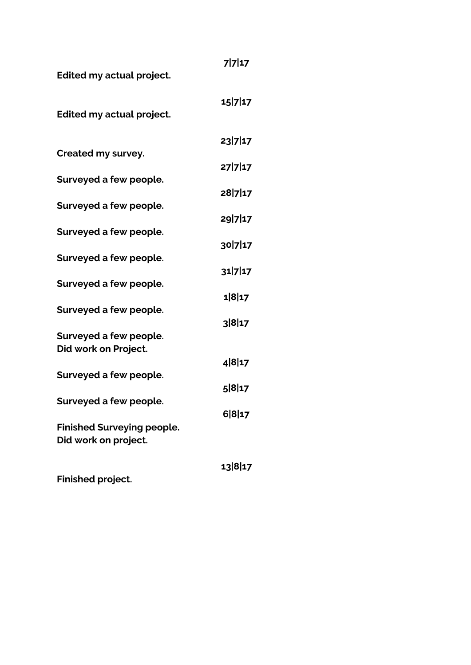| <b>Edited my actual project.</b>                          | 77117   |
|-----------------------------------------------------------|---------|
| <b>Edited my actual project.</b>                          | 15 7 17 |
|                                                           | 23 7 17 |
| Created my survey.                                        | 27 7 17 |
| Surveyed a few people.                                    | 28 7 17 |
| Surveyed a few people.                                    | 29 7 17 |
| Surveyed a few people.                                    | 30 7 17 |
| Surveyed a few people.                                    | 31717   |
| Surveyed a few people.                                    | 1 8 17  |
| Surveyed a few people.                                    |         |
| Surveyed a few people.                                    | 3 8 17  |
| Did work on Project.                                      | 4817    |
| Surveyed a few people.                                    | 5817    |
| Surveyed a few people.                                    | 6817    |
| <b>Finished Surveying people.</b><br>Did work on project. |         |
| Finished project.                                         | 13 8 17 |